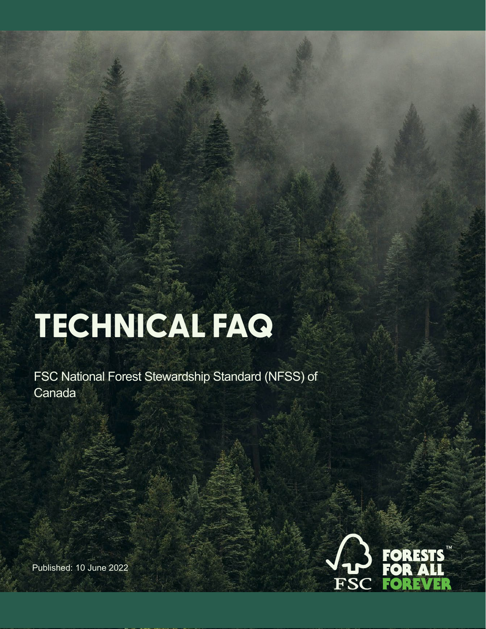# **TECHNICAL FAQ**

FSC National Forest Stewardship Standard (NFSS) of Canada



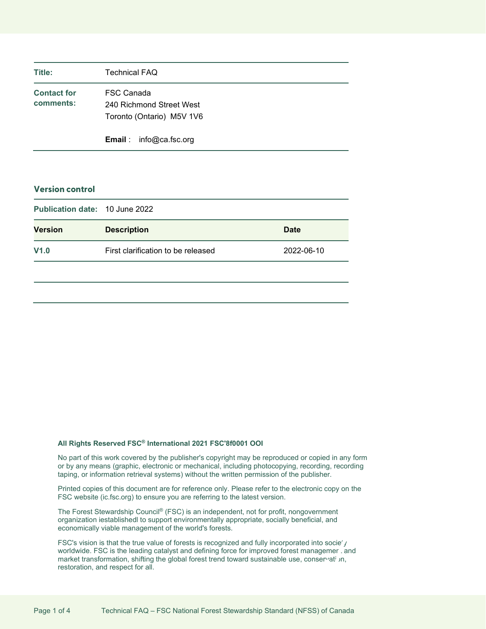| Title:                          | <b>Technical FAQ</b>                                                |  |
|---------------------------------|---------------------------------------------------------------------|--|
| <b>Contact for</b><br>comments: | FSC Canada<br>240 Richmond Street West<br>Toronto (Ontario) M5V 1V6 |  |
|                                 | <b>Email</b> : $info@ca.fsc.org$                                    |  |

### **Version control**

|                | <b>Publication date: 10 June 2022</b> |             |  |  |
|----------------|---------------------------------------|-------------|--|--|
| <b>Version</b> | <b>Description</b>                    | <b>Date</b> |  |  |
| V1.0           | First clarification to be released    | 2022-06-10  |  |  |

#### **All Rights Reserved FSC® International 2021 FSC'8f0001 OOI**

No part of this work covered by the publisher's copyright may be reproduced or copied in any form or by any means (graphic, electronic or mechanical, including photocopying, recording, recording taping, or information retrieval systems) without the written permission of the publisher.

Printed copies of this document are for reference only. Please refer to the electronic copy on the FSC website (ic.fsc.org) to ensure you are referring to the latest version.

The Forest Stewardship Council® (FSC) is an independent, not for profit, nongovernment organization iestablishedl to support environmentally appropriate, socially beneficial, and economically viable management of the world's forests.

FSC's vision is that the true value of forests is recognized and fully incorporated into socie' / worldwide. FSC is the leading catalyst and defining force for improved forest managemer and market transformation, shifting the global forest trend toward sustainable use, conservation, restoration, and respect for all.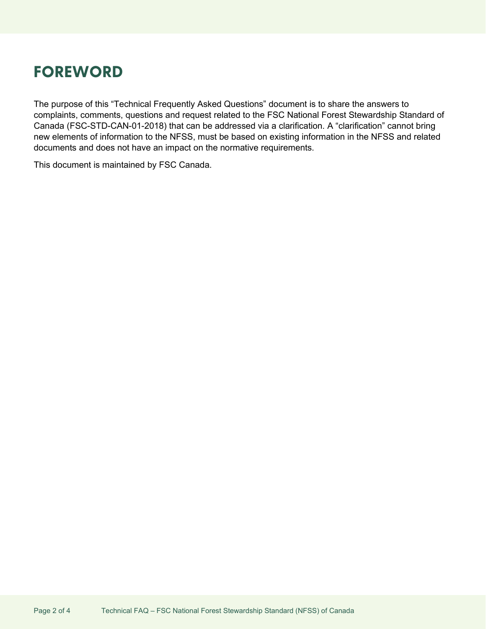# <span id="page-2-0"></span>**FOREWORD**

The purpose of this "Technical Frequently Asked Questions" document is to share the answers to complaints, comments, questions and request related to the FSC National Forest Stewardship Standard of Canada (FSC-STD-CAN-01-2018) that can be addressed via a clarification. A "clarification" cannot bring new elements of information to the NFSS, must be based on existing information in the NFSS and related documents and does not have an impact on the normative requirements.

This document is maintained by FSC Canada.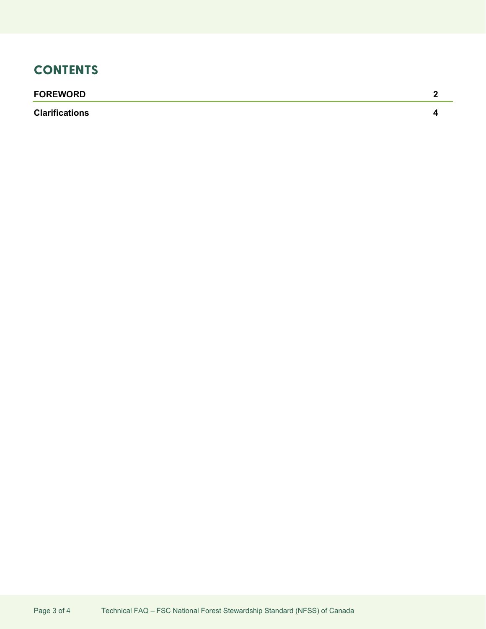## **CONTENTS**

## **[FOREWORD](#page-2-0) 2**

**[Clarifications](#page-4-0) 4**